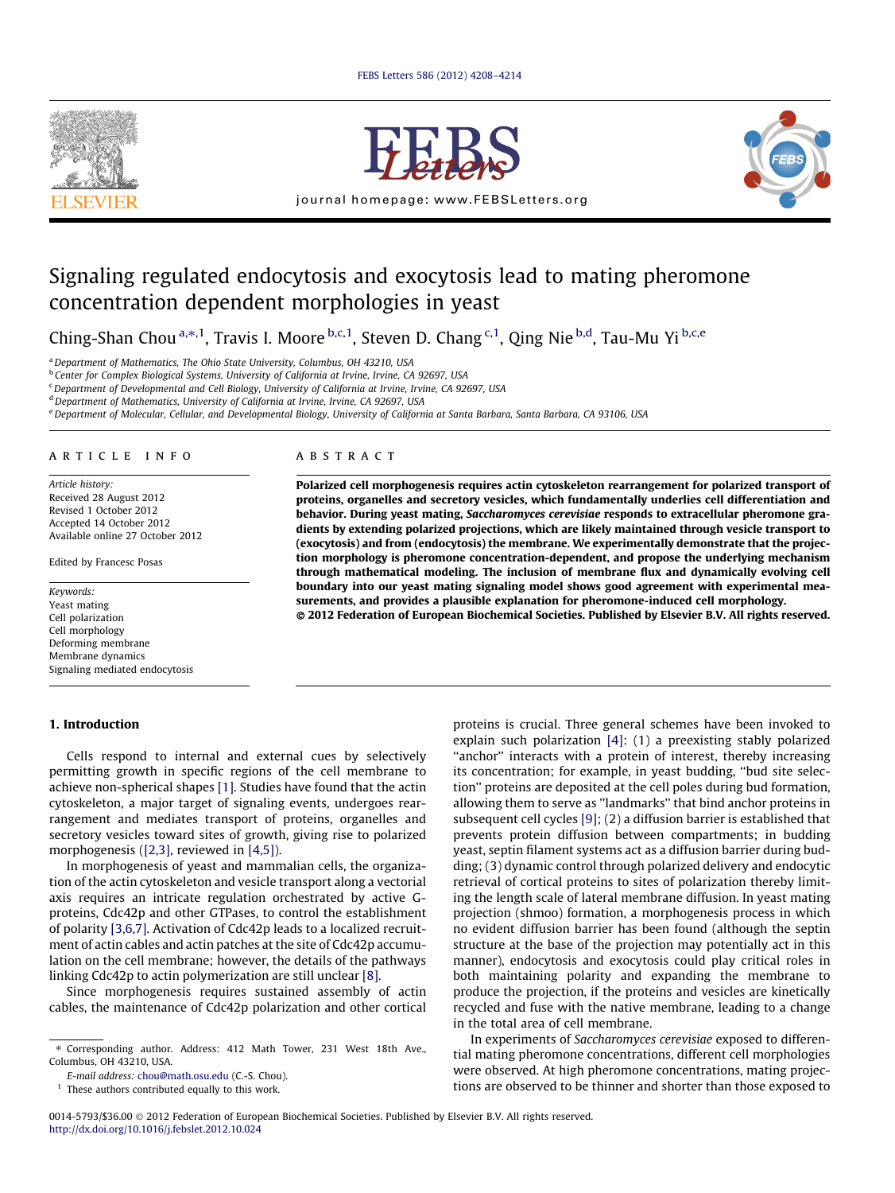



journal homepage: [www.FEBSLetters.org](http://www.FEBSLetters.org)



# Signaling regulated endocytosis and exocytosis lead to mating pheromone concentration dependent morphologies in yeast

Ching-Sh[a](#page-0-0)n Chou <sup>a,</sup>\*,<sup>[1](#page-0-0)</sup>, Travis I. Moore <sup>[b,c,1](#page-0-0)</sup>, Steven D. Chang <sup>[c,1](#page-0-0)</sup>, Qing Nie <sup>[b](#page-0-0),[d](#page-0-0)</sup>, Tau-Mu Yi <sup>[b,c](#page-0-0),[e](#page-0-0)</sup>

<sup>a</sup>Department of Mathematics, The Ohio State University, Columbus, OH 43210, USA

b Center for Complex Biological Systems, University of California at Irvine, Irvine, CA 92697, USA

<sup>c</sup> Department of Developmental and Cell Biology, University of California at Irvine, Irvine, CA 92697, USA

<sup>d</sup> Department of Mathematics, University of California at Irvine, Irvine, CA 92697, USA

e Department of Molecular, Cellular, and Developmental Biology, University of California at Santa Barbara, Santa Barbara, CA 93106, USA

### article info

Article history: Received 28 August 2012 Revised 1 October 2012 Accepted 14 October 2012 Available online 27 October 2012

Edited by Francesc Posas

Keywords: Yeast mating Cell polarization Cell morphology Deforming membrane Membrane dynamics Signaling mediated endocytosis

## 1. Introduction

## **ARSTRACT**

Polarized cell morphogenesis requires actin cytoskeleton rearrangement for polarized transport of proteins, organelles and secretory vesicles, which fundamentally underlies cell differentiation and behavior. During yeast mating, Saccharomyces cerevisiae responds to extracellular pheromone gradients by extending polarized projections, which are likely maintained through vesicle transport to (exocytosis) and from (endocytosis) the membrane. We experimentally demonstrate that the projection morphology is pheromone concentration-dependent, and propose the underlying mechanism through mathematical modeling. The inclusion of membrane flux and dynamically evolving cell boundary into our yeast mating signaling model shows good agreement with experimental measurements, and provides a plausible explanation for pheromone-induced cell morphology. ! 2012 Federation of European Biochemical Societies. Published by Elsevier B.V. All rights reserved.

Cells respond to internal and external cues by selectively permitting growth in specific regions of the cell membrane to achieve non-spherical shapes [\[1\].](#page-5-0) Studies have found that the actin cytoskeleton, a major target of signaling events, undergoes rearrangement and mediates transport of proteins, organelles and secretory vesicles toward sites of growth, giving rise to polarized morphogenesis ([\[2,3\]](#page-5-0), reviewed in [\[4,5\]\)](#page-6-0).

In morphogenesis of yeast and mammalian cells, the organization of the actin cytoskeleton and vesicle transport along a vectorial axis requires an intricate regulation orchestrated by active Gproteins, Cdc42p and other GTPases, to control the establishment of polarity [\[3,6,7\].](#page-5-0) Activation of Cdc42p leads to a localized recruitment of actin cables and actin patches at the site of Cdc42p accumulation on the cell membrane; however, the details of the pathways linking Cdc42p to actin polymerization are still unclear [\[8\].](#page-6-0)

Since morphogenesis requires sustained assembly of actin cables, the maintenance of Cdc42p polarization and other cortical proteins is crucial. Three general schemes have been invoked to explain such polarization [\[4\]:](#page-6-0) (1) a preexisting stably polarized "anchor" interacts with a protein of interest, thereby increasing its concentration; for example, in yeast budding, ''bud site selection'' proteins are deposited at the cell poles during bud formation, allowing them to serve as ''landmarks'' that bind anchor proteins in subsequent cell cycles [\[9\];](#page-6-0) (2) a diffusion barrier is established that prevents protein diffusion between compartments; in budding yeast, septin filament systems act as a diffusion barrier during budding; (3) dynamic control through polarized delivery and endocytic retrieval of cortical proteins to sites of polarization thereby limiting the length scale of lateral membrane diffusion. In yeast mating projection (shmoo) formation, a morphogenesis process in which no evident diffusion barrier has been found (although the septin structure at the base of the projection may potentially act in this manner), endocytosis and exocytosis could play critical roles in both maintaining polarity and expanding the membrane to produce the projection, if the proteins and vesicles are kinetically recycled and fuse with the native membrane, leading to a change in the total area of cell membrane.

In experiments of Saccharomyces cerevisiae exposed to differential mating pheromone concentrations, different cell morphologies were observed. At high pheromone concentrations, mating projections are observed to be thinner and shorter than those exposed to

<sup>⇑</sup> Corresponding author. Address: 412 Math Tower, 231 West 18th Ave., Columbus, OH 43210, USA.

E-mail address: [chou@math.osu.edu](mailto:chou@math.osu.edu) (C.-S. Chou).

<span id="page-0-0"></span> $1$  These authors contributed equally to this work.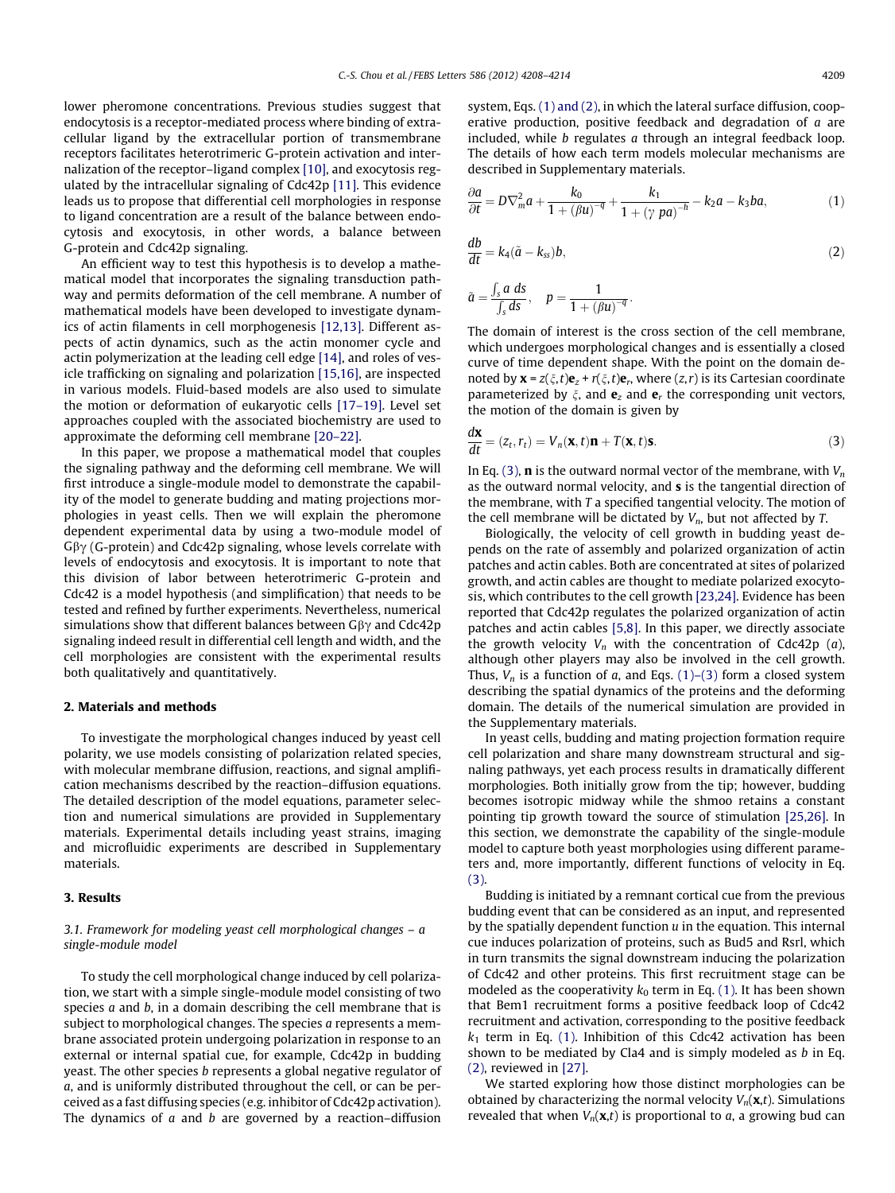lower pheromone concentrations. Previous studies suggest that endocytosis is a receptor-mediated process where binding of extracellular ligand by the extracellular portion of transmembrane receptors facilitates heterotrimeric G-protein activation and internalization of the receptor–ligand complex [\[10\]](#page-6-0), and exocytosis regulated by the intracellular signaling of Cdc42p [\[11\]](#page-6-0). This evidence leads us to propose that differential cell morphologies in response to ligand concentration are a result of the balance between endocytosis and exocytosis, in other words, a balance between G-protein and Cdc42p signaling.

An efficient way to test this hypothesis is to develop a mathematical model that incorporates the signaling transduction pathway and permits deformation of the cell membrane. A number of mathematical models have been developed to investigate dynamics of actin filaments in cell morphogenesis [\[12,13\].](#page-6-0) Different aspects of actin dynamics, such as the actin monomer cycle and actin polymerization at the leading cell edge [\[14\],](#page-6-0) and roles of vesicle trafficking on signaling and polarization [\[15,16\],](#page-6-0) are inspected in various models. Fluid-based models are also used to simulate the motion or deformation of eukaryotic cells [\[17–19\]](#page-6-0). Level set approaches coupled with the associated biochemistry are used to approximate the deforming cell membrane [\[20–22\].](#page-6-0)

In this paper, we propose a mathematical model that couples the signaling pathway and the deforming cell membrane. We will first introduce a single-module model to demonstrate the capability of the model to generate budding and mating projections morphologies in yeast cells. Then we will explain the pheromone dependent experimental data by using a two-module model of  $G\beta\gamma$  (G-protein) and Cdc42p signaling, whose levels correlate with levels of endocytosis and exocytosis. It is important to note that this division of labor between heterotrimeric G-protein and Cdc42 is a model hypothesis (and simplification) that needs to be tested and refined by further experiments. Nevertheless, numerical simulations show that different balances between  $G\beta\gamma$  and Cdc42p signaling indeed result in differential cell length and width, and the cell morphologies are consistent with the experimental results both qualitatively and quantitatively.

#### 2. Materials and methods

To investigate the morphological changes induced by yeast cell polarity, we use models consisting of polarization related species, with molecular membrane diffusion, reactions, and signal amplification mechanisms described by the reaction–diffusion equations. The detailed description of the model equations, parameter selection and numerical simulations are provided in Supplementary materials. Experimental details including yeast strains, imaging and microfluidic experiments are described in Supplementary materials.

## 3. Results

# 3.1. Framework for modeling yeast cell morphological changes – a single-module model

<span id="page-1-0"></span>To study the cell morphological change induced by cell polarization, we start with a simple single-module model consisting of two species  $a$  and  $b$ , in a domain describing the cell membrane that is subject to morphological changes. The species a represents a membrane associated protein undergoing polarization in response to an external or internal spatial cue, for example, Cdc42p in budding yeast. The other species b represents a global negative regulator of a, and is uniformly distributed throughout the cell, or can be perceived as a fast diffusing species (e.g. inhibitor of Cdc42p activation). The dynamics of  $a$  and  $b$  are governed by a reaction–diffusion system, Eqs. [\(1\) and \(2\),](#page-1-0) in which the lateral surface diffusion, cooperative production, positive feedback and degradation of a are included, while b regulates a through an integral feedback loop. The details of how each term models molecular mechanisms are described in Supplementary materials.

$$
\frac{\partial a}{\partial t} = D\nabla_m^2 a + \frac{k_0}{1 + (\beta u)^{-q}} + \frac{k_1}{1 + (\gamma \text{ pa})^{-h}} - k_2 a - k_3 ba,\tag{1}
$$

$$
\frac{db}{dt} = k_4(\tilde{a} - k_{ss})b,
$$
\n
$$
\tilde{a} - \int_s a \, ds \qquad n = 1
$$
\n(2)

$$
\tilde{a} = \frac{\int_s a \, ds}{\int_s ds}, \quad p = \frac{1}{1 + (\beta u)^{-q}}.
$$

The domain of interest is the cross section of the cell membrane, which undergoes morphological changes and is essentially a closed curve of time dependent shape. With the point on the domain denoted by  $\mathbf{x} = z(\xi,t)\mathbf{e}_z + r(\xi,t)\mathbf{e}_r$ , where  $(z,r)$  is its Cartesian coordinate parameterized by  $\xi$ , and  $\mathbf{e}_z$  and  $\mathbf{e}_r$  the corresponding unit vectors, the motion of the domain is given by

$$
\frac{d\mathbf{x}}{dt} = (z_t, r_t) = V_n(\mathbf{x}, t)\mathbf{n} + T(\mathbf{x}, t)\mathbf{s}.
$$
\n(3)

In Eq. [\(3\)](#page-1-0), **n** is the outward normal vector of the membrane, with  $V_n$ as the outward normal velocity, and s is the tangential direction of the membrane, with  $T$  a specified tangential velocity. The motion of the cell membrane will be dictated by  $V_n$ , but not affected by T.

Biologically, the velocity of cell growth in budding yeast depends on the rate of assembly and polarized organization of actin patches and actin cables. Both are concentrated at sites of polarized growth, and actin cables are thought to mediate polarized exocytosis, which contributes to the cell growth [\[23,24\]](#page-6-0). Evidence has been reported that Cdc42p regulates the polarized organization of actin patches and actin cables [\[5,8\].](#page-6-0) In this paper, we directly associate the growth velocity  $V_n$  with the concentration of Cdc42p (a), although other players may also be involved in the cell growth. Thus,  $V_n$  is a function of a, and Eqs. [\(1\)–\(3\)](#page-1-0) form a closed system describing the spatial dynamics of the proteins and the deforming domain. The details of the numerical simulation are provided in the Supplementary materials.

In yeast cells, budding and mating projection formation require cell polarization and share many downstream structural and signaling pathways, yet each process results in dramatically different morphologies. Both initially grow from the tip; however, budding becomes isotropic midway while the shmoo retains a constant pointing tip growth toward the source of stimulation [\[25,26\].](#page-6-0) In this section, we demonstrate the capability of the single-module model to capture both yeast morphologies using different parameters and, more importantly, different functions of velocity in Eq. [\(3\)](#page-1-0).

Budding is initiated by a remnant cortical cue from the previous budding event that can be considered as an input, and represented by the spatially dependent function  $u$  in the equation. This internal cue induces polarization of proteins, such as Bud5 and Rsrl, which in turn transmits the signal downstream inducing the polarization of Cdc42 and other proteins. This first recruitment stage can be modeled as the cooperativity  $k_0$  term in Eq. [\(1\)](#page-1-0). It has been shown that Bem1 recruitment forms a positive feedback loop of Cdc42 recruitment and activation, corresponding to the positive feedback  $k_1$  term in Eq. [\(1\).](#page-1-0) Inhibition of this Cdc42 activation has been shown to be mediated by Cla4 and is simply modeled as b in Eq. [\(2\)](#page-1-0), reviewed in [\[27\].](#page-6-0)

We started exploring how those distinct morphologies can be obtained by characterizing the normal velocity  $V_n(\mathbf{x},t)$ . Simulations revealed that when  $V_n(\mathbf{x},t)$  is proportional to a, a growing bud can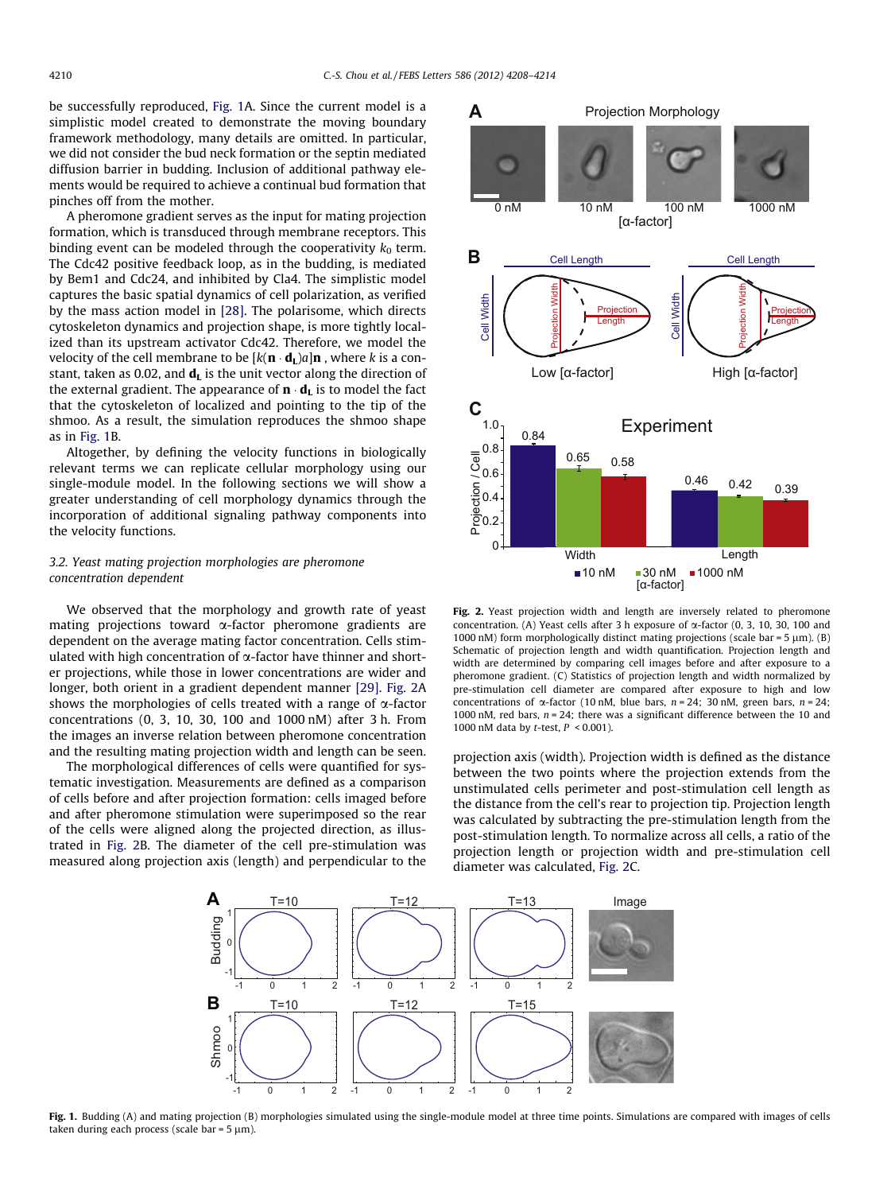be successfully reproduced, [Fig. 1A](#page-2-0). Since the current model is a simplistic model created to demonstrate the moving boundary framework methodology, many details are omitted. In particular, we did not consider the bud neck formation or the septin mediated diffusion barrier in budding. Inclusion of additional pathway elements would be required to achieve a continual bud formation that pinches off from the mother.

A pheromone gradient serves as the input for mating projection formation, which is transduced through membrane receptors. This binding event can be modeled through the cooperativity  $k_0$  term. The Cdc42 positive feedback loop, as in the budding, is mediated by Bem1 and Cdc24, and inhibited by Cla4. The simplistic model captures the basic spatial dynamics of cell polarization, as verified by the mass action model in [\[28\]](#page-6-0). The polarisome, which directs cytoskeleton dynamics and projection shape, is more tightly localized than its upstream activator Cdc42. Therefore, we model the velocity of the cell membrane to be  $[k(n \cdot d_L)a]n$ , where k is a constant, taken as 0.02, and  $\mathbf{d}_L$  is the unit vector along the direction of the external gradient. The appearance of  $\mathbf{n} \cdot \mathbf{d}_{\mathbf{L}}$  is to model the fact that the cytoskeleton of localized and pointing to the tip of the shmoo. As a result, the simulation reproduces the shmoo shape as in [Fig. 1B](#page-2-0).

Altogether, by defining the velocity functions in biologically relevant terms we can replicate cellular morphology using our single-module model. In the following sections we will show a greater understanding of cell morphology dynamics through the incorporation of additional signaling pathway components into the velocity functions.

# 3.2. Yeast mating projection morphologies are pheromone concentration dependent

We observed that the morphology and growth rate of yeast mating projections toward a-factor pheromone gradients are dependent on the average mating factor concentration. Cells stimulated with high concentration of  $\alpha$ -factor have thinner and shorter projections, while those in lower concentrations are wider and longer, both orient in a gradient dependent manner [\[29\]](#page-6-0). [Fig. 2](#page-2-0)A shows the morphologies of cells treated with a range of  $\alpha$ -factor concentrations (0, 3, 10, 30, 100 and 1000 nM) after 3 h. From the images an inverse relation between pheromone concentration and the resulting mating projection width and length can be seen.

The morphological differences of cells were quantified for systematic investigation. Measurements are defined as a comparison of cells before and after projection formation: cells imaged before and after pheromone stimulation were superimposed so the rear of the cells were aligned along the projected direction, as illustrated in [Fig. 2](#page-2-0)B. The diameter of the cell pre-stimulation was measured along projection axis (length) and perpendicular to the



Fig. 2. Yeast projection width and length are inversely related to pheromone concentration. (A) Yeast cells after 3 h exposure of  $\alpha$ -factor (0, 3, 10, 30, 100 and 1000 nM) form morphologically distinct mating projections (scale bar =  $5 \mu$ m). (B) Schematic of projection length and width quantification. Projection length and width are determined by comparing cell images before and after exposure to a pheromone gradient. (C) Statistics of projection length and width normalized by pre-stimulation cell diameter are compared after exposure to high and low concentrations of  $\alpha$ -factor (10 nM, blue bars,  $n = 24$ ; 30 nM, green bars,  $n = 24$ ; 1000 nM, red bars,  $n = 24$ ; there was a significant difference between the 10 and 1000 nM data by *t*-test,  $P < 0.001$ ).

projection axis (width). Projection width is defined as the distance between the two points where the projection extends from the unstimulated cells perimeter and post-stimulation cell length as the distance from the cell's rear to projection tip. Projection length was calculated by subtracting the pre-stimulation length from the post-stimulation length. To normalize across all cells, a ratio of the projection length or projection width and pre-stimulation cell diameter was calculated, [Fig. 2](#page-2-0)C.



<span id="page-2-0"></span>Fig. 1. Budding (A) and mating projection (B) morphologies simulated using the single-module model at three time points. Simulations are compared with images of cells taken during each process (scale bar =  $5 \mu m$ ).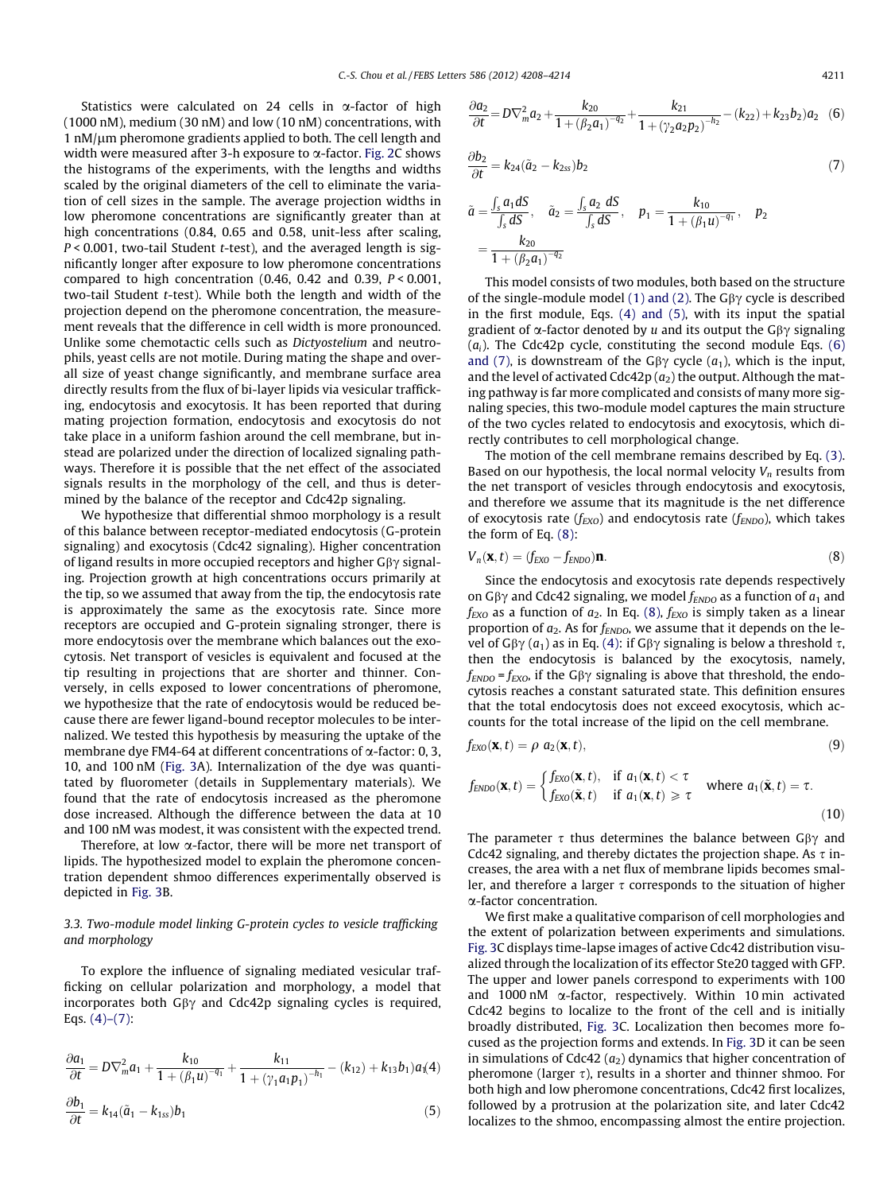Statistics were calculated on 24 cells in  $\alpha$ -factor of high (1000 nM), medium (30 nM) and low (10 nM) concentrations, with 1 nM/lm pheromone gradients applied to both. The cell length and width were measured after 3-h exposure to  $\alpha$ -factor. [Fig. 2C](#page-2-0) shows the histograms of the experiments, with the lengths and widths scaled by the original diameters of the cell to eliminate the variation of cell sizes in the sample. The average projection widths in low pheromone concentrations are significantly greater than at high concentrations (0.84, 0.65 and 0.58, unit-less after scaling,  $P < 0.001$ , two-tail Student t-test), and the averaged length is significantly longer after exposure to low pheromone concentrations compared to high concentration  $(0.46, 0.42, 0.01, 0.001, 0.001)$ two-tail Student t-test). While both the length and width of the projection depend on the pheromone concentration, the measurement reveals that the difference in cell width is more pronounced. Unlike some chemotactic cells such as Dictyostelium and neutrophils, yeast cells are not motile. During mating the shape and overall size of yeast change significantly, and membrane surface area directly results from the flux of bi-layer lipids via vesicular trafficking, endocytosis and exocytosis. It has been reported that during mating projection formation, endocytosis and exocytosis do not take place in a uniform fashion around the cell membrane, but instead are polarized under the direction of localized signaling pathways. Therefore it is possible that the net effect of the associated signals results in the morphology of the cell, and thus is determined by the balance of the receptor and Cdc42p signaling.

We hypothesize that differential shmoo morphology is a result of this balance between receptor-mediated endocytosis (G-protein signaling) and exocytosis (Cdc42 signaling). Higher concentration of ligand results in more occupied receptors and higher  $G\beta\gamma$  signaling. Projection growth at high concentrations occurs primarily at the tip, so we assumed that away from the tip, the endocytosis rate is approximately the same as the exocytosis rate. Since more receptors are occupied and G-protein signaling stronger, there is more endocytosis over the membrane which balances out the exocytosis. Net transport of vesicles is equivalent and focused at the tip resulting in projections that are shorter and thinner. Conversely, in cells exposed to lower concentrations of pheromone, we hypothesize that the rate of endocytosis would be reduced because there are fewer ligand-bound receptor molecules to be internalized. We tested this hypothesis by measuring the uptake of the membrane dye FM4-64 at different concentrations of  $\alpha$ -factor: 0, 3, 10, and 100 nM ([Fig. 3](#page-4-0)A). Internalization of the dye was quantitated by fluorometer (details in Supplementary materials). We found that the rate of endocytosis increased as the pheromone dose increased. Although the difference between the data at 10 and 100 nM was modest, it was consistent with the expected trend.

Therefore, at low  $\alpha$ -factor, there will be more net transport of lipids. The hypothesized model to explain the pheromone concentration dependent shmoo differences experimentally observed is depicted in [Fig. 3](#page-4-0)B.

# 3.3. Two-module model linking G-protein cycles to vesicle trafficking and morphology

To explore the influence of signaling mediated vesicular trafficking on cellular polarization and morphology, a model that incorporates both  $G\beta\gamma$  and Cdc42p signaling cycles is required, Eqs.  $(4)-(7)$ :

<span id="page-3-0"></span>
$$
\frac{\partial a_1}{\partial t} = D\nabla_m^2 a_1 + \frac{k_{10}}{1 + (\beta_1 u)^{-q_1}} + \frac{k_{11}}{1 + (\gamma_1 a_1 p_1)^{-h_1}} - (k_{12}) + k_{13} b_1) a_1(4)
$$
  

$$
\frac{\partial b_1}{\partial t} = k_{14} (\tilde{a}_1 - k_{1ss}) b_1
$$
 (5)

$$
\frac{\partial a_2}{\partial t} = D \nabla_m^2 a_2 + \frac{k_{20}}{1 + (\beta_2 a_1)^{-q_2}} + \frac{k_{21}}{1 + (\gamma_2 a_2 p_2)^{-h_2}} - (k_{22}) + k_{23} b_2) a_2 \tag{6}
$$

$$
\frac{\partial b_2}{\partial t} = k_{24}(\tilde{a}_2 - k_{2ss})b_2\tag{7}
$$

$$
\tilde{a} = \frac{\int_s a_1 dS}{\int_s dS}, \quad \tilde{a}_2 = \frac{\int_s a_2 dS}{\int_s dS}, \quad p_1 = \frac{k_{10}}{1 + (\beta_1 u)^{-q_1}}, \quad p_2 = \frac{k_{20}}{1 + (\beta_2 a_1)^{-q_2}}
$$

This model consists of two modules, both based on the structure of the single-module model [\(1\) and \(2\).](#page-1-0) The  $G\beta\gamma$  cycle is described in the first module, Eqs. [\(4\) and \(5\)](#page-3-0), with its input the spatial gradient of  $\alpha$ -factor denoted by u and its output the G $\beta\gamma$  signaling  $(a_i)$ . The Cdc42p cycle, constituting the second module Eqs. (6) and (7), is downstream of the G $\beta\gamma$  cycle ( $a_1$ ), which is the input, and the level of activated  $Cdc42p(a<sub>2</sub>)$  the output. Although the mating pathway is far more complicated and consists of many more signaling species, this two-module model captures the main structure of the two cycles related to endocytosis and exocytosis, which directly contributes to cell morphological change.

The motion of the cell membrane remains described by Eq. [\(3\).](#page-1-0) Based on our hypothesis, the local normal velocity  $V_n$  results from the net transport of vesicles through endocytosis and exocytosis, and therefore we assume that its magnitude is the net difference of exocytosis rate ( $f_{EXO}$ ) and endocytosis rate ( $f_{ENDO}$ ), which takes the form of Eq. [\(8\)](#page-3-0):

$$
V_n(\mathbf{x},t) = (f_{EXO} - f_{ENDO})\mathbf{n}.
$$
\n(8)

Since the endocytosis and exocytosis rate depends respectively on G $\beta\gamma$  and Cdc42 signaling, we model  $f_{ENDO}$  as a function of  $a_1$  and  $f_{EXO}$  as a function of  $a_2$ . In Eq. [\(8\),](#page-3-0)  $f_{EXO}$  is simply taken as a linear proportion of  $a_2$ . As for  $f_{ENDO}$ , we assume that it depends on the level of G $\beta\gamma$  (a<sub>1</sub>) as in Eq. [\(4\):](#page-3-0) if G $\beta\gamma$  signaling is below a threshold  $\tau$ , then the endocytosis is balanced by the exocytosis, namely,  $f_{ENDO} = f_{EXO}$ , if the G $\beta\gamma$  signaling is above that threshold, the endocytosis reaches a constant saturated state. This definition ensures that the total endocytosis does not exceed exocytosis, which accounts for the total increase of the lipid on the cell membrane.

$$
f_{EXO}(\mathbf{x},t) = \rho \ a_2(\mathbf{x},t),\tag{9}
$$

$$
f_{ENDO}(\mathbf{x}, t) = \begin{cases} f_{ENDO}(\mathbf{x}, t), & \text{if } a_1(\mathbf{x}, t) < \tau \\ f_{ENDO}(\tilde{\mathbf{x}}, t) & \text{if } a_1(\mathbf{x}, t) \ge \tau \end{cases} \text{ where } a_1(\tilde{\mathbf{x}}, t) = \tau.
$$
 (10)

The parameter  $\tau$  thus determines the balance between G $\beta\gamma$  and Cdc42 signaling, and thereby dictates the projection shape. As  $\tau$  increases, the area with a net flux of membrane lipids becomes smaller, and therefore a larger  $\tau$  corresponds to the situation of higher a-factor concentration.

We first make a qualitative comparison of cell morphologies and the extent of polarization between experiments and simulations. [Fig. 3C](#page-4-0) displays time-lapse images of active Cdc42 distribution visualized through the localization of its effector Ste20 tagged with GFP. The upper and lower panels correspond to experiments with 100 and 1000 nM  $\alpha$ -factor, respectively. Within 10 min activated Cdc42 begins to localize to the front of the cell and is initially broadly distributed, [Fig. 3](#page-4-0)C. Localization then becomes more focused as the projection forms and extends. In [Fig. 3](#page-4-0)D it can be seen in simulations of Cdc42  $(a_2)$  dynamics that higher concentration of pheromone (larger  $\tau$ ), results in a shorter and thinner shmoo. For both high and low pheromone concentrations, Cdc42 first localizes, followed by a protrusion at the polarization site, and later Cdc42 localizes to the shmoo, encompassing almost the entire projection.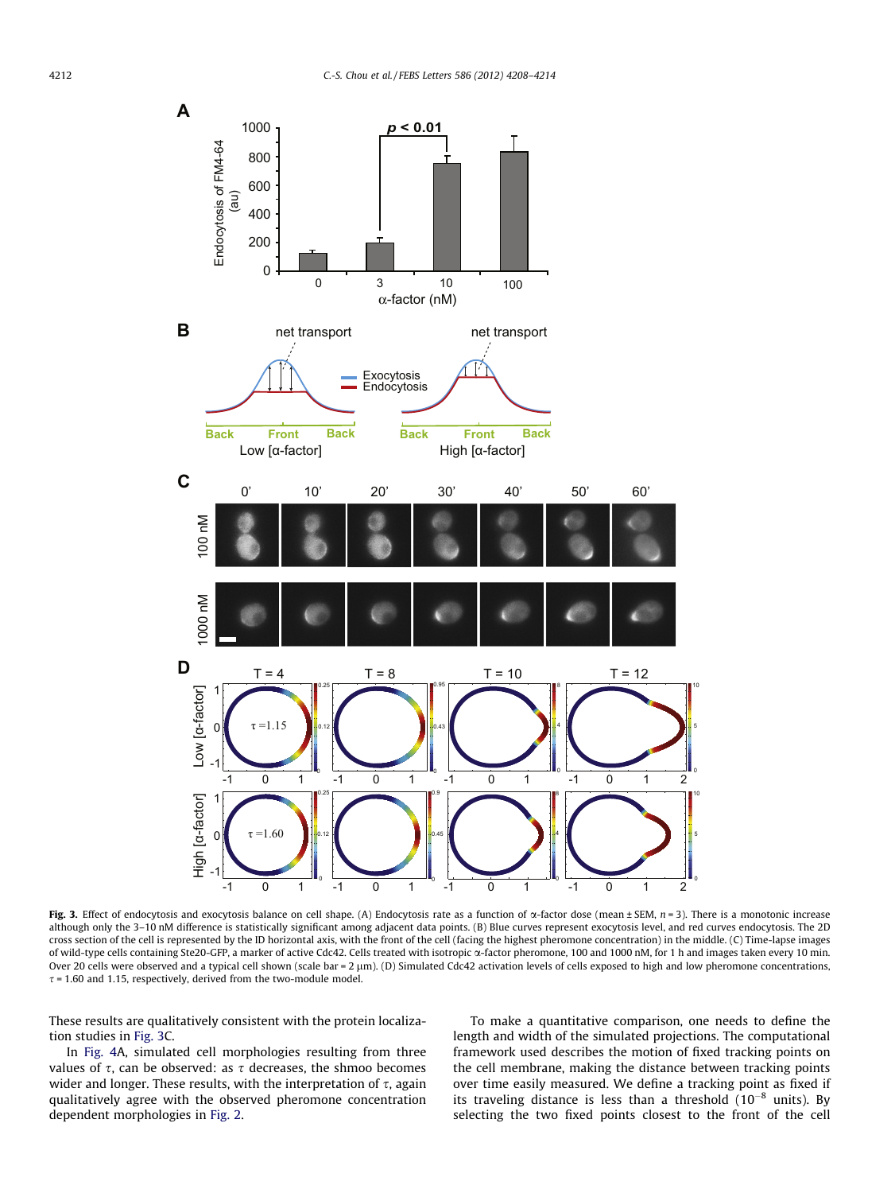

Fig. 3. Effect of endocytosis and exocytosis balance on cell shape. (A) Endocytosis rate as a function of  $\alpha$ -factor dose (mean ± SEM,  $n = 3$ ). There is a monotonic increase although only the 3–10 nM difference is statistically significant among adjacent data points. (B) Blue curves represent exocytosis level, and red curves endocytosis. The 2D cross section of the cell is represented by the ID horizontal axis, with the front of the cell (facing the highest pheromone concentration) in the middle. (C) Time-lapse images of wild-type cells containing Ste20-GFP, a marker of active Cdc42. Cells treated with isotropic a-factor pheromone, 100 and 1000 nM, for 1 h and images taken every 10 min. Over 20 cells were observed and a typical cell shown (scale bar = 2 µm). (D) Simulated Cdc42 activation levels of cells exposed to high and low pheromone concentrations,  $\tau$  = 1.60 and 1.15, respectively, derived from the two-module model.

These results are qualitatively consistent with the protein localization studies in [Fig. 3](#page-4-0)C.

<span id="page-4-0"></span>In [Fig. 4A](#page-5-0), simulated cell morphologies resulting from three values of  $\tau$ , can be observed: as  $\tau$  decreases, the shmoo becomes wider and longer. These results, with the interpretation of  $\tau$ , again qualitatively agree with the observed pheromone concentration dependent morphologies in [Fig. 2](#page-2-0).

To make a quantitative comparison, one needs to define the length and width of the simulated projections. The computational framework used describes the motion of fixed tracking points on the cell membrane, making the distance between tracking points over time easily measured. We define a tracking point as fixed if its traveling distance is less than a threshold  $(10^{-8}$  units). By selecting the two fixed points closest to the front of the cell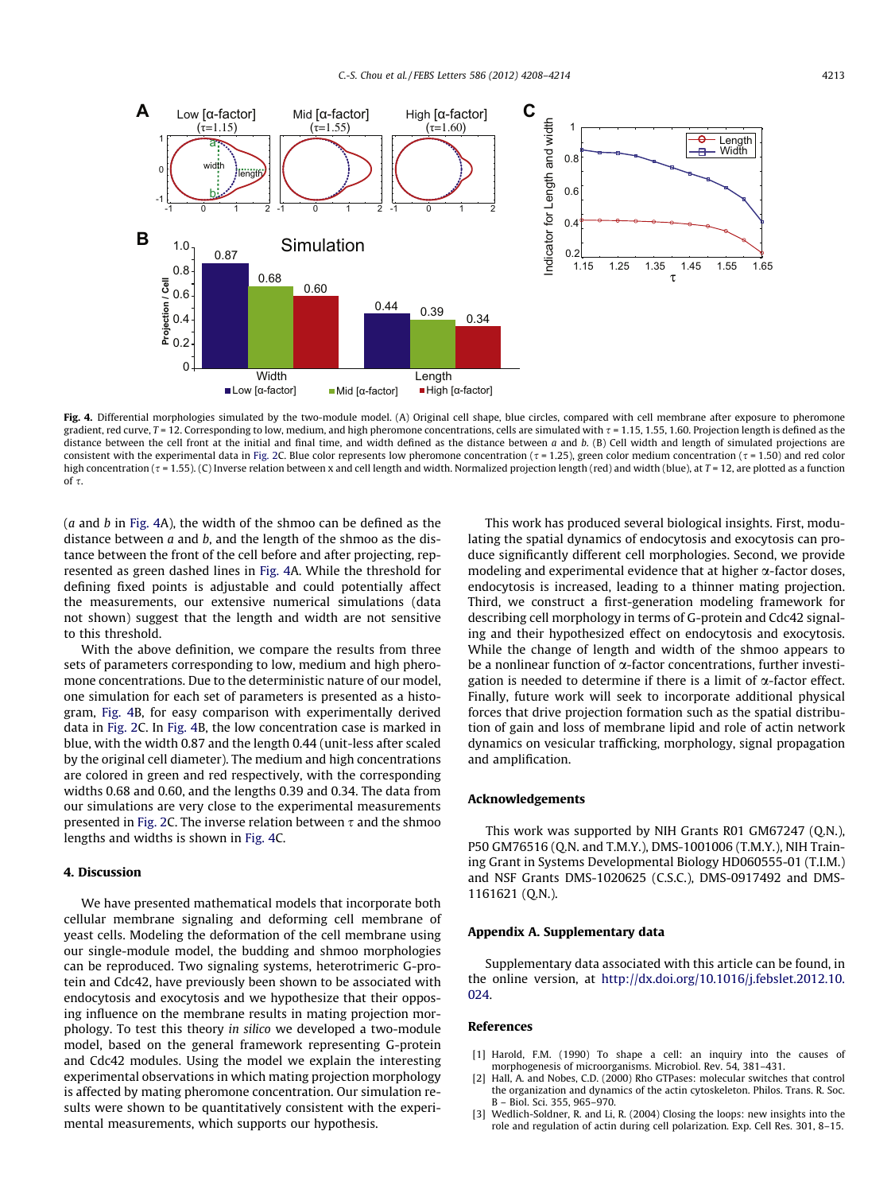

Fig. 4. Differential morphologies simulated by the two-module model. (A) Original cell shape, blue circles, compared with cell membrane after exposure to pheromone gradient, red curve,  $T = 12$ . Corresponding to low, medium, and high pheromone concentrations, cells are simulated with  $\tau = 1.15$ , 1.55, 1.60. Projection length is defined as the distance between the cell front at the initial and final time, and width defined as the distance between  $a$  and  $b$ . (B) Cell width and length of simulated projections are consistent with the experimental data in [Fig. 2](#page-2-0)C. Blue color represents low pheromone concentration ( $\tau$  = 1.25), green color medium concentration ( $\tau$  = 1.50) and red color high concentration ( $\tau$  = 1.55). (C) Inverse relation between x and cell length and width. Normalized projection length (red) and width (blue), at T = 12, are plotted as a function of  $\tau$ .

 $(a$  and  $b$  in [Fig. 4A](#page-5-0)), the width of the shmoo can be defined as the distance between  $a$  and  $b$ , and the length of the shmoo as the distance between the front of the cell before and after projecting, represented as green dashed lines in [Fig. 4](#page-5-0)A. While the threshold for defining fixed points is adjustable and could potentially affect the measurements, our extensive numerical simulations (data not shown) suggest that the length and width are not sensitive to this threshold.

With the above definition, we compare the results from three sets of parameters corresponding to low, medium and high pheromone concentrations. Due to the deterministic nature of our model, one simulation for each set of parameters is presented as a histogram, [Fig. 4](#page-5-0)B, for easy comparison with experimentally derived data in [Fig. 2C](#page-2-0). In [Fig. 4B](#page-5-0), the low concentration case is marked in blue, with the width 0.87 and the length 0.44 (unit-less after scaled by the original cell diameter). The medium and high concentrations are colored in green and red respectively, with the corresponding widths 0.68 and 0.60, and the lengths 0.39 and 0.34. The data from our simulations are very close to the experimental measurements presented in [Fig. 2](#page-2-0)C. The inverse relation between  $\tau$  and the shmoo lengths and widths is shown in [Fig. 4](#page-5-0)C.

## 4. Discussion

<span id="page-5-0"></span>We have presented mathematical models that incorporate both cellular membrane signaling and deforming cell membrane of yeast cells. Modeling the deformation of the cell membrane using our single-module model, the budding and shmoo morphologies can be reproduced. Two signaling systems, heterotrimeric G-protein and Cdc42, have previously been shown to be associated with endocytosis and exocytosis and we hypothesize that their opposing influence on the membrane results in mating projection morphology. To test this theory in silico we developed a two-module model, based on the general framework representing G-protein and Cdc42 modules. Using the model we explain the interesting experimental observations in which mating projection morphology is affected by mating pheromone concentration. Our simulation results were shown to be quantitatively consistent with the experimental measurements, which supports our hypothesis.

This work has produced several biological insights. First, modulating the spatial dynamics of endocytosis and exocytosis can produce significantly different cell morphologies. Second, we provide modeling and experimental evidence that at higher  $\alpha$ -factor doses, endocytosis is increased, leading to a thinner mating projection. Third, we construct a first-generation modeling framework for describing cell morphology in terms of G-protein and Cdc42 signaling and their hypothesized effect on endocytosis and exocytosis. While the change of length and width of the shmoo appears to be a nonlinear function of  $\alpha$ -factor concentrations, further investigation is needed to determine if there is a limit of  $\alpha$ -factor effect. Finally, future work will seek to incorporate additional physical forces that drive projection formation such as the spatial distribution of gain and loss of membrane lipid and role of actin network dynamics on vesicular trafficking, morphology, signal propagation and amplification.

## Acknowledgements

This work was supported by NIH Grants R01 GM67247 (Q.N.), P50 GM76516 (Q.N. and T.M.Y.), DMS-1001006 (T.M.Y.), NIH Training Grant in Systems Developmental Biology HD060555-01 (T.I.M.) and NSF Grants DMS-1020625 (C.S.C.), DMS-0917492 and DMS-1161621 (Q.N.).

## Appendix A. Supplementary data

Supplementary data associated with this article can be found, in the online version, at [http://dx.doi.org/10.1016/j.febslet.2012.10.](http://dx.doi.org/10.1016/j.febslet.2012.10.024) [024.](http://dx.doi.org/10.1016/j.febslet.2012.10.024)

### References

- [1] Harold, F.M. (1990) To shape a cell: an inquiry into the causes of morphogenesis of microorganisms. Microbiol. Rev. 54, 381–431.
- Hall, A. and Nobes, C.D. (2000) Rho GTPases: molecular switches that control the organization and dynamics of the actin cytoskeleton. Philos. Trans. R. Soc. B – Biol. Sci. 355, 965–970.
- [3] Wedlich-Soldner, R. and Li, R. (2004) Closing the loops: new insights into the role and regulation of actin during cell polarization. Exp. Cell Res. 301, 8–15.